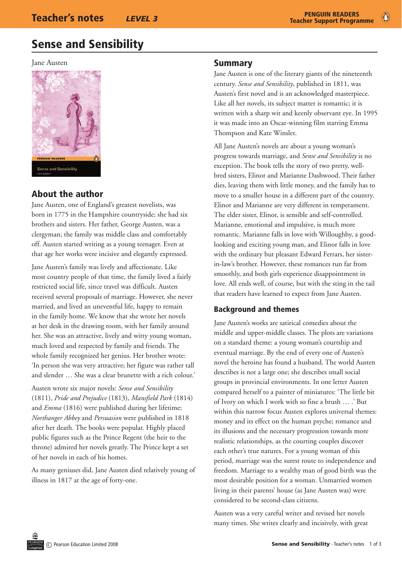$\bullet$ 

# Sense and Sensibility

Jane Austen



# About the author

Jane Austen, one of England's greatest novelists, was born in 1775 in the Hampshire countryside; she had six brothers and sisters. Her father, George Austen, was a clergyman; the family was middle class and comfortably off. Austen started writing as a young teenager. Even at that age her works were incisive and elegantly expressed.

Jane Austen's family was lively and affectionate. Like most country people of that time, the family lived a fairly restricted social life, since travel was difficult. Austen received several proposals of marriage. However, she never married, and lived an uneventful life, happy to remain in the family home. We know that she wrote her novels at her desk in the drawing room, with her family around her. She was an attractive, lively and witty young woman, much loved and respected by family and friends. The whole family recognized her genius. Her brother wrote: 'In person she was very attractive; her figure was rather tall and slender … She was a clear brunette with a rich colour.'

Austen wrote six major novels: *Sense and Sensibility* (1811), *Pride and Prejudice* (1813), *Mansfield Park* (1814) and *Emma* (1816) were published during her lifetime; *Northanger Abbey* and *Persuasion* were published in 1818 after her death. The books were popular. Highly placed public figures such as the Prince Regent (the heir to the throne) admired her novels greatly. The Prince kept a set of her novels in each of his homes.

As many geniuses did, Jane Austen died relatively young of illness in 1817 at the age of forty-one.

#### Summary

Jane Austen is one of the literary giants of the nineteenth century. *Sense and Sensibility*, published in 1811, was Austen's first novel and is an acknowledged masterpiece. Like all her novels, its subject matter is romantic; it is written with a sharp wit and keenly observant eye. In 1995 it was made into an Oscar-winning film starring Emma Thompson and Kate Winslet.

All Jane Austen's novels are about a young woman's progress towards marriage, and *Sense and Sensibility* is no exception. The book tells the story of two pretty, wellbred sisters, Elinor and Marianne Dashwood. Their father dies, leaving them with little money, and the family has to move to a smaller house in a different part of the country. Elinor and Marianne are very different in temperament. The elder sister, Elinor, is sensible and self-controlled. Marianne, emotional and impulsive, is much more romantic. Marianne falls in love with Willoughby, a goodlooking and exciting young man, and Elinor falls in love with the ordinary but pleasant Edward Ferrars, her sisterin-law's brother. However, these romances run far from smoothly, and both girls experience disappointment in love. All ends well, of course, but with the sting in the tail that readers have learned to expect from Jane Austen.

## Background and themes

Jane Austen's works are satirical comedies about the middle and upper-middle classes. The plots are variations on a standard theme: a young woman's courtship and eventual marriage. By the end of every one of Austen's novel the heroine has found a husband. The world Austen describes is not a large one; she describes small social groups in provincial environments. In one letter Austen compared herself to a painter of miniatures: 'The little bit of Ivory on which I work with so fine a brush … .' But within this narrow focus Austen explores universal themes: money and its effect on the human psyche; romance and its illusions and the necessary progression towards more realistic relationships, as the courting couples discover each other's true natures. For a young woman of this period, marriage was the surest route to independence and freedom. Marriage to a wealthy man of good birth was the most desirable position for a woman. Unmarried women living in their parents' house (as Jane Austen was) were considered to be second-class citizens.

Austen was a very careful writer and revised her novels many times. She writes clearly and incisively, with great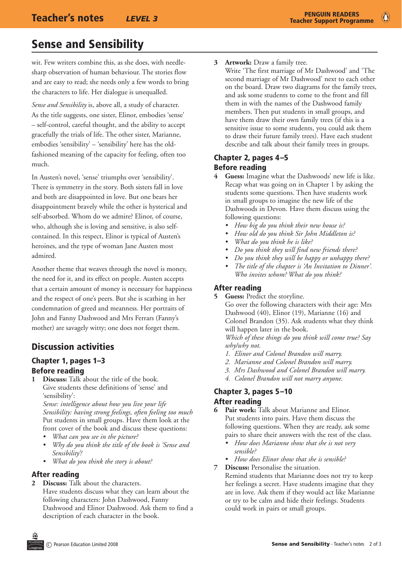# Sense and Sensibility

wit. Few writers combine this, as she does, with needlesharp observation of human behaviour. The stories flow and are easy to read; she needs only a few words to bring the characters to life. Her dialogue is unequalled.

*Sense and Sensibility* is, above all, a study of character. As the title suggests, one sister, Elinor, embodies 'sense' – self-control, careful thought, and the ability to accept gracefully the trials of life. The other sister, Marianne, embodies 'sensibility' – 'sensibility' here has the oldfashioned meaning of the capacity for feeling, often too much.

In Austen's novel, 'sense' triumphs over 'sensibility'. There is symmetry in the story. Both sisters fall in love and both are disappointed in love. But one bears her disappointment bravely while the other is hysterical and self-absorbed. Whom do we admire? Elinor, of course, who, although she is loving and sensitive, is also selfcontained. In this respect, Elinor is typical of Austen's heroines, and the type of woman Jane Austen most admired.

Another theme that weaves through the novel is money, the need for it, and its effect on people. Austen accepts that a certain amount of money is necessary for happiness and the respect of one's peers. But she is scathing in her condemnation of greed and meanness. Her portraits of John and Fanny Dashwood and Mrs Ferrars (Fanny's mother) are savagely witty; one does not forget them.

# Discussion activities

#### Chapter 1, pages 1–3 Before reading

**1 Discuss:** Talk about the title of the book. Give students these definitions of 'sense' and 'sensibility':

*Sense: intelligence about how you live your life Sensibility: having strong feelings, often feeling too much* Put students in small groups. Have them look at the front cover of the book and discuss these questions:

- *• What can you see in the picture?*
- *• Why do you think the title of the book is 'Sense and Sensibility'?*
- *• What do you think the story is about?*

# After reading

2 **Discuss:** Talk about the characters. Have students discuss what they can learn about the following characters: John Dashwood, Fanny Dashwood and Elinor Dashwood. Ask them to find a description of each character in the book.

- **3 Artwork:** Draw a family tree.
	- Write 'The first marriage of Mr Dashwood' and 'The second marriage of Mr Dashwood' next to each other on the board. Draw two diagrams for the family trees, and ask some students to come to the front and fill them in with the names of the Dashwood family members. Then put students in small groups, and have them draw their own family trees (if this is a sensitive issue to some students, you could ask them to draw their future family trees). Have each student describe and talk about their family trees in groups.

# Chapter 2, pages 4–5 Before reading

- **4 Guess:** Imagine what the Dashwoods' new life is like. Recap what was going on in Chapter 1 by asking the students some questions. Then have students work in small groups to imagine the new life of the Dashwoods in Devon. Have them discuss using the following questions:
	- *• How big do you think their new house is?*
	- *• How old do you think Sir John Middleton is?*
	- *• What do you think he is like?*
	- *• Do you think they will find new friends there?*
	- *• Do you think they will be happy or unhappy there?*
	- *• The title of the chapter is 'An Invitation to Dinner'. Who invites whom? What do you think?*

## After reading

**5** Guess: Predict the storyline.

Go over the following characters with their age: Mrs Dashwood (40), Elinor (19), Marianne (16) and Colonel Brandon (35). Ask students what they think will happen later in the book.

*Which of these things do you think will come true? Say why/why not.*

- *1. Elinor and Colonel Brandon will marry.*
- *2. Marianne and Colonel Brandon will marry.*
- *3. Mrs Dashwood and Colonel Brandon will marry.*
- *4. Colonel Brandon will not marry anyone.*

#### Chapter 3, pages 5–10 After reading

- **6 Pair work:** Talk about Marianne and Elinor. Put students into pairs. Have them discuss the following questions. When they are ready, ask some pairs to share their answers with the rest of the class.
	- *• How does Marianne show that she is not very sensible?*
	- *• How does Elinor show that she is sensible?*
- **7 Discuss:** Personalise the situation.

Remind students that Marianne does not try to keep her feelings a secret. Have students imagine that they are in love. Ask them if they would act like Marianne or try to be calm and hide their feelings. Students could work in pairs or small groups.